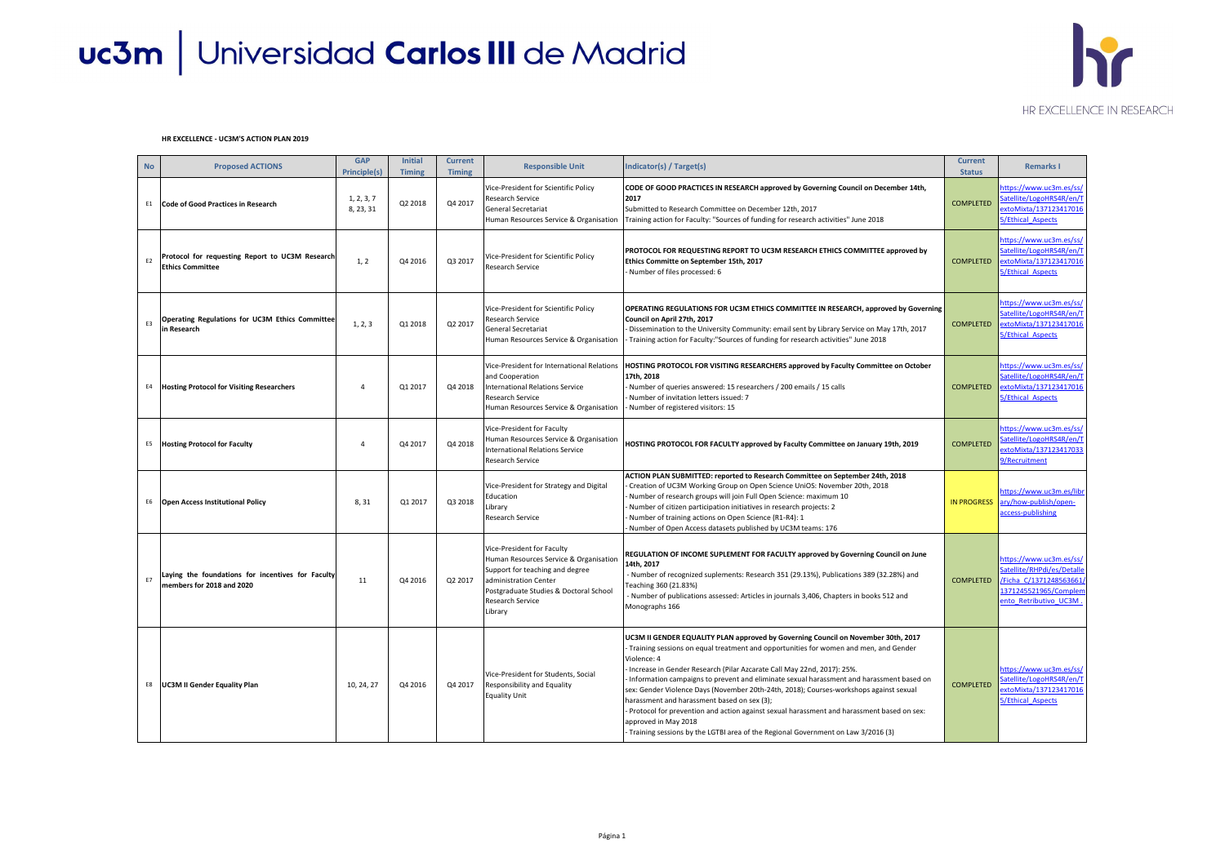| <b>No</b>      | <b>Proposed ACTIONS</b>                                                        | <b>GAP</b><br><b>Principle(s)</b> | <b>Initial</b><br><b>Timing</b> | <b>Current</b><br><b>Timing</b> | <b>Responsible Unit</b>                                                                                                                                                                                   | Indicator(s) / Target(s)                                                                                                                                                                                                                                                                                                                                                                                                                                                                                                                                                                                                                                                                                           | <b>Current</b><br><b>Status</b> | <b>Remarks I</b>                                                                                                                   |
|----------------|--------------------------------------------------------------------------------|-----------------------------------|---------------------------------|---------------------------------|-----------------------------------------------------------------------------------------------------------------------------------------------------------------------------------------------------------|--------------------------------------------------------------------------------------------------------------------------------------------------------------------------------------------------------------------------------------------------------------------------------------------------------------------------------------------------------------------------------------------------------------------------------------------------------------------------------------------------------------------------------------------------------------------------------------------------------------------------------------------------------------------------------------------------------------------|---------------------------------|------------------------------------------------------------------------------------------------------------------------------------|
| E1             | Code of Good Practices in Research                                             | 1, 2, 3, 7<br>8, 23, 31           | Q2 2018                         | Q4 2017                         | Vice-President for Scientific Policy<br>Research Service<br><b>General Secretariat</b><br>Human Resources Service & Organisation                                                                          | CODE OF GOOD PRACTICES IN RESEARCH approved by Governing Council on December 14th,<br>2017<br>Submitted to Research Committee on December 12th, 2017<br>Training action for Faculty: "Sources of funding for research activities" June 2018                                                                                                                                                                                                                                                                                                                                                                                                                                                                        | <b>COMPLETED</b>                | https://www.uc3m.es/ss/<br>Satellite/LogoHRS4R/en/T<br>extoMixta/137123417016<br><b>5/Ethical Aspects</b>                          |
| E <sub>2</sub> | Protocol for requesting Report to UC3M Research<br><b>Ethics Committee</b>     | 1, 2                              | Q4 2016                         | Q3 2017                         | Vice-President for Scientific Policy<br><b>Research Service</b>                                                                                                                                           | PROTOCOL FOR REQUESTING REPORT TO UC3M RESEARCH ETHICS COMMITTEE approved by<br>Ethics Committe on September 15th, 2017<br>Number of files processed: 6                                                                                                                                                                                                                                                                                                                                                                                                                                                                                                                                                            | <b>COMPLETED</b>                | https://www.uc3m.es/ss/<br>Satellite/LogoHRS4R/en/T<br>extoMixta/137123417016<br>5/Ethical Aspects                                 |
| E3             | Operating Regulations for UC3M Ethics Committee<br>in Research                 | 1, 2, 3                           | Q1 2018                         | Q2 2017                         | Vice-President for Scientific Policy<br>Research Service<br><b>General Secretariat</b><br>Human Resources Service & Organisation                                                                          | OPERATING REGULATIONS FOR UC3M ETHICS COMMITTEE IN RESEARCH, approved by Governing<br>Council on April 27th, 2017<br>Dissemination to the University Community: email sent by Library Service on May 17th, 2017<br>Training action for Faculty:"Sources of funding for research activities" June 2018                                                                                                                                                                                                                                                                                                                                                                                                              | <b>COMPLETED</b>                | https://www.uc3m.es/ss/<br>Satellite/LogoHRS4R/en/T<br>extoMixta/137123417016<br><b>5/Ethical Aspects</b>                          |
| E4             | <b>Hosting Protocol for Visiting Researchers</b>                               |                                   | Q1 2017                         | Q4 2018                         | Vice-President for International Relations<br>and Cooperation<br><b>International Relations Service</b><br>Research Service<br>Human Resources Service & Organisation                                     | HOSTING PROTOCOL FOR VISITING RESEARCHERS approved by Faculty Committee on October<br>17th, 2018<br>- Number of queries answered: 15 researchers / 200 emails / 15 calls<br>Number of invitation letters issued: 7<br>Number of registered visitors: 15                                                                                                                                                                                                                                                                                                                                                                                                                                                            | <b>COMPLETED</b>                | https://www.uc3m.es/ss/<br>Satellite/LogoHRS4R/en/T<br>extoMixta/137123417016<br><b>5/Ethical Aspects</b>                          |
| E5             | <b>Hosting Protocol for Faculty</b>                                            | 4                                 | Q4 2017                         | Q4 2018                         | Vice-President for Faculty<br>Human Resources Service & Organisation<br><b>International Relations Service</b><br>Research Service                                                                        | HOSTING PROTOCOL FOR FACULTY approved by Faculty Committee on January 19th, 2019                                                                                                                                                                                                                                                                                                                                                                                                                                                                                                                                                                                                                                   | <b>COMPLETED</b>                | https://www.uc3m.es/ss/<br>Satellite/LogoHRS4R/en/T<br>extoMixta/137123417033<br>9/Recruitment                                     |
| E6             | <b>Open Access Institutional Policy</b>                                        | 8, 31                             | Q1 2017                         | Q3 2018                         | Vice-President for Strategy and Digital<br>Education<br>Library<br>Research Service                                                                                                                       | ACTION PLAN SUBMITTED: reported to Research Committee on September 24th, 2018<br>Creation of UC3M Working Group on Open Science UniOS: November 20th, 2018<br>Number of research groups will join Full Open Science: maximum 10<br>Number of citizen participation initiatives in research projects: 2<br>Number of training actions on Open Science (R1-R4): 1<br>Number of Open Access datasets published by UC3M teams: 176                                                                                                                                                                                                                                                                                     | <b>IN PROGRESS</b>              | https://www.uc3m.es/libr<br>ary/how-publish/open-<br>access-publishing                                                             |
| E7             | Laying the foundations for incentives for Faculty<br>members for 2018 and 2020 | 11                                | Q4 2016                         | Q2 2017                         | Vice-President for Faculty<br>Human Resources Service & Organisation<br>Support for teaching and degree<br>administration Center<br>Postgraduate Studies & Doctoral School<br>Research Service<br>Library | REGULATION OF INCOME SUPLEMENT FOR FACULTY approved by Governing Council on June<br>14th, 2017<br>Number of recognized suplements: Research 351 (29.13%), Publications 389 (32.28%) and<br>Feaching 360 (21.83%)<br>Number of publications assessed: Articles in journals 3,406, Chapters in books 512 and<br>Monographs 166                                                                                                                                                                                                                                                                                                                                                                                       | <b>COMPLETED</b>                | https://www.uc3m.es/ss/<br>Satellite/RHPdi/es/Detalle<br>/Ficha C/1371248563661/<br>1371245521965/Complem<br>ento Retributivo UC3M |
| E8             | <b>UC3M II Gender Equality Plan</b>                                            | 10, 24, 27                        | Q4 2016                         | Q4 2017                         | Vice-President for Students, Social<br>Responsibility and Equality<br><b>Equality Unit</b>                                                                                                                | UC3M II GENDER EQUALITY PLAN approved by Governing Council on November 30th, 2017<br>Training sessions on equal treatment and opportunities for women and men, and Gender<br>Violence: 4<br>Increase in Gender Research (Pilar Azcarate Call May 22nd, 2017): 25%.<br>Information campaigns to prevent and eliminate sexual harassment and harassment based on<br>sex: Gender Violence Days (November 20th-24th, 2018); Courses-workshops against sexual<br>harassment and harassment based on sex (3);<br>- Protocol for prevention and action against sexual harassment and harassment based on sex:<br>approved in May 2018<br>Training sessions by the LGTBI area of the Regional Government on Law 3/2016 (3) | <b>COMPLETED</b>                | https://www.uc3m.es/ss/<br>Satellite/LogoHRS4R/en/T<br>extoMixta/137123417016<br>5/Ethical Aspects                                 |

## uc3m | Universidad Carlos III de Madrid

#### **HR EXCELLENCE - UC3M'S ACTION PLAN 2019**



### HR EXCELLENCE IN RESEARCH